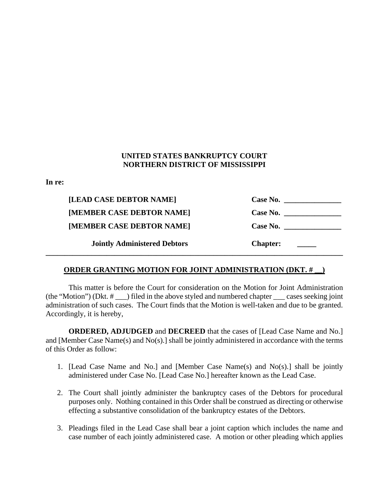## **UNITED STATES BANKRUPTCY COURT NORTHERN DISTRICT OF MISSISSIPPI**

**In re:**

| [LEAD CASE DEBTOR NAME]             | Case No.        |
|-------------------------------------|-----------------|
| [MEMBER CASE DEBTOR NAME]           | Case No.        |
| [MEMBER CASE DEBTOR NAME]           | Case No.        |
| <b>Jointly Administered Debtors</b> | <b>Chapter:</b> |

## **ORDER GRANTING MOTION FOR JOINT ADMINISTRATION (DKT. # \_\_)**

This matter is before the Court for consideration on the Motion for Joint Administration (the "Motion") (Dkt. # \_\_\_) filed in the above styled and numbered chapter \_\_\_ cases seeking joint administration of such cases. The Court finds that the Motion is well-taken and due to be granted. Accordingly, it is hereby,

**ORDERED, ADJUDGED** and **DECREED** that the cases of [Lead Case Name and No.] and [Member Case Name(s) and No(s).] shall be jointly administered in accordance with the terms of this Order as follow:

- 1. [Lead Case Name and No.] and [Member Case Name(s) and No(s).] shall be jointly administered under Case No. [Lead Case No.] hereafter known as the Lead Case.
- 2. The Court shall jointly administer the bankruptcy cases of the Debtors for procedural purposes only. Nothing contained in this Order shall be construed as directing or otherwise effecting a substantive consolidation of the bankruptcy estates of the Debtors.
- 3. Pleadings filed in the Lead Case shall bear a joint caption which includes the name and case number of each jointly administered case. A motion or other pleading which applies